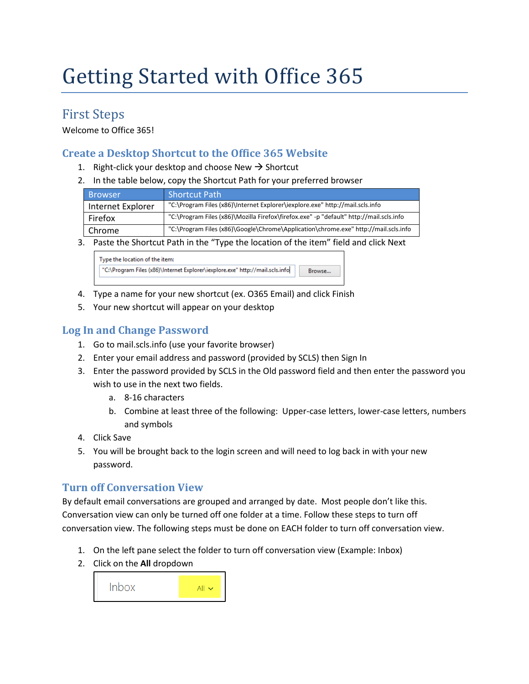# Getting Started with Office 365

## First Steps

Welcome to Office 365!

#### **Create a Desktop Shortcut to the Office 365 Website**

- 1. Right-click your desktop and choose New  $\rightarrow$  Shortcut
- 2. In the table below, copy the Shortcut Path for your preferred browser

| <b>Browser</b>    | <b>Shortcut Path</b>                                                                    |
|-------------------|-----------------------------------------------------------------------------------------|
| Internet Explorer | "C:\Program Files (x86)\Internet Explorer\iexplore.exe" http://mail.scls.info           |
| Firefox           | "C:\Program Files (x86)\Mozilla Firefox\firefox.exe" -p "default" http://mail.scls.info |
| Chrome            | "C:\Program Files (x86)\Google\Chrome\Application\chrome.exe" http://mail.scls.info     |

3. Paste the Shortcut Path in the "Type the location of the item" field and click Next

| Type the location of the item:                                                |  |        |  |
|-------------------------------------------------------------------------------|--|--------|--|
| "C:\Program Files (x86)\Internet Explorer\iexplore.exe" http://mail.scls.info |  | Browse |  |
|                                                                               |  |        |  |

- 4. Type a name for your new shortcut (ex. O365 Email) and click Finish
- 5. Your new shortcut will appear on your desktop

### **Log In and Change Password**

- 1. Go to mail.scls.info (use your favorite browser)
- 2. Enter your email address and password (provided by SCLS) then Sign In
- 3. Enter the password provided by SCLS in the Old password field and then enter the password you wish to use in the next two fields.
	- a. 8-16 characters
	- b. Combine at least three of the following: Upper-case letters, lower-case letters, numbers and symbols
- 4. Click Save
- 5. You will be brought back to the login screen and will need to log back in with your new password.

#### **Turn off Conversation View**

By default email conversations are grouped and arranged by date. Most people don't like this. Conversation view can only be turned off one folder at a time. Follow these steps to turn off conversation view. The following steps must be done on EACH folder to turn off conversation view.

- 1. On the left pane select the folder to turn off conversation view (Example: Inbox)
- 2. Click on the **All** dropdown

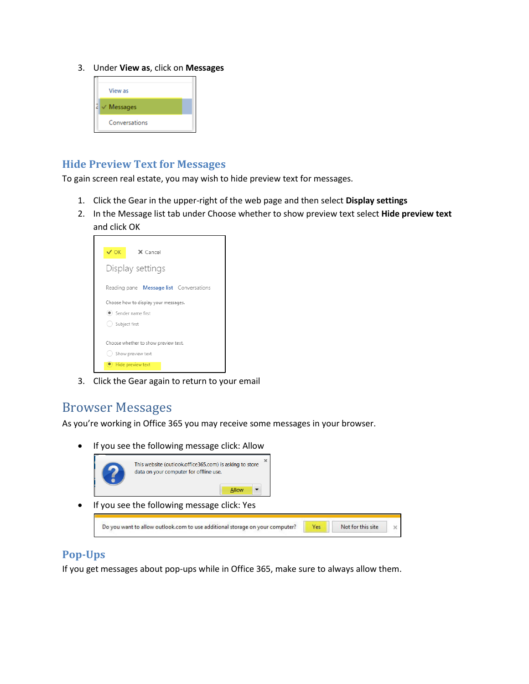3. Under **View as**, click on **Messages**



#### **Hide Preview Text for Messages**

To gain screen real estate, you may wish to hide preview text for messages.

- 1. Click the Gear in the upper-right of the web page and then select **Display settings**
- 2. In the Message list tab under Choose whether to show preview text select **Hide preview text** and click OK



3. Click the Gear again to return to your email

## Browser Messages

As you're working in Office 365 you may receive some messages in your browser.

• If you see the following message click: Allow



#### **Pop-Ups**

If you get messages about pop-ups while in Office 365, make sure to always allow them.

Not for this site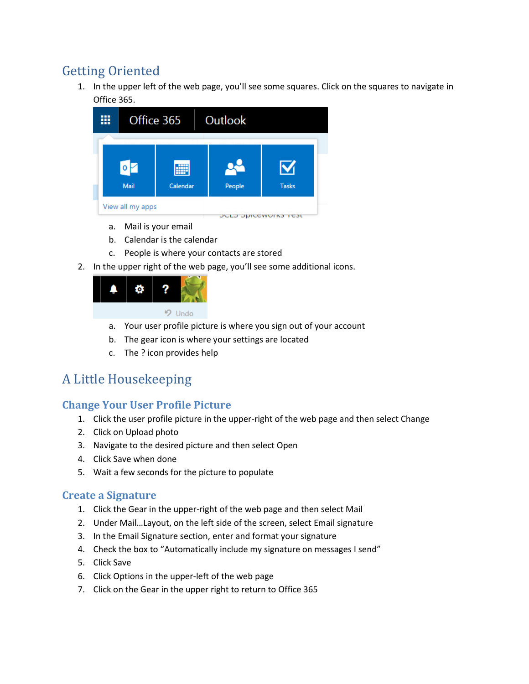# Getting Oriented

1. In the upper left of the web page, you'll see some squares. Click on the squares to navigate in Office 365.



- a. Mail is your email
- b. Calendar is the calendar
- c. People is where your contacts are stored
- 2. In the upper right of the web page, you'll see some additional icons.



- a. Your user profile picture is where you sign out of your account
- b. The gear icon is where your settings are located
- c. The ? icon provides help

# A Little Housekeeping

#### **Change Your User Profile Picture**

- 1. Click the user profile picture in the upper-right of the web page and then select Change
- 2. Click on Upload photo
- 3. Navigate to the desired picture and then select Open
- 4. Click Save when done
- 5. Wait a few seconds for the picture to populate

#### **Create a Signature**

- 1. Click the Gear in the upper-right of the web page and then select Mail
- 2. Under Mail…Layout, on the left side of the screen, select Email signature
- 3. In the Email Signature section, enter and format your signature
- 4. Check the box to "Automatically include my signature on messages I send"
- 5. Click Save
- 6. Click Options in the upper-left of the web page
- 7. Click on the Gear in the upper right to return to Office 365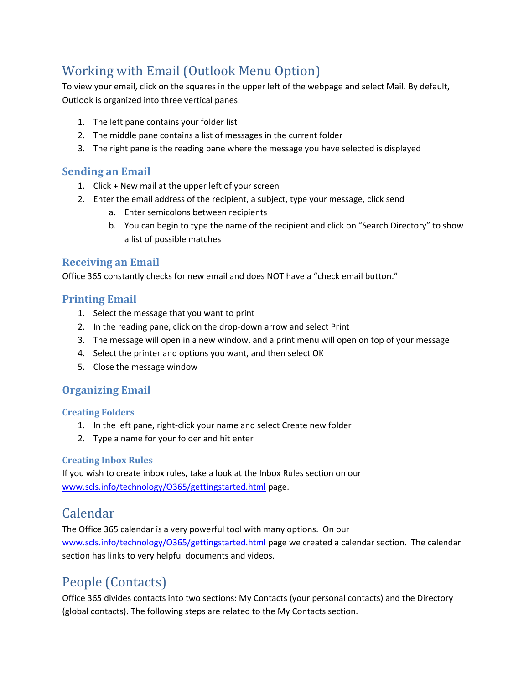# Working with Email (Outlook Menu Option)

To view your email, click on the squares in the upper left of the webpage and select Mail. By default, Outlook is organized into three vertical panes:

- 1. The left pane contains your folder list
- 2. The middle pane contains a list of messages in the current folder
- 3. The right pane is the reading pane where the message you have selected is displayed

#### **Sending an Email**

- 1. Click + New mail at the upper left of your screen
- 2. Enter the email address of the recipient, a subject, type your message, click send
	- a. Enter semicolons between recipients
	- b. You can begin to type the name of the recipient and click on "Search Directory" to show a list of possible matches

#### **Receiving an Email**

Office 365 constantly checks for new email and does NOT have a "check email button."

#### **Printing Email**

- 1. Select the message that you want to print
- 2. In the reading pane, click on the drop-down arrow and select Print
- 3. The message will open in a new window, and a print menu will open on top of your message
- 4. Select the printer and options you want, and then select OK
- 5. Close the message window

#### **Organizing Email**

#### **Creating Folders**

- 1. In the left pane, right-click your name and select Create new folder
- 2. Type a name for your folder and hit enter

#### **Creating Inbox Rules**

If you wish to create inbox rules, take a look at the Inbox Rules section on our [www.scls.info/technology/O365/gettingstarted.html](http://www.scls.info/technology/O365/gettingstarted.html) page.

## Calendar

The Office 365 calendar is a very powerful tool with many options. On our [www.scls.info/technology/O365/gettingstarted.html](http://www.scls.info/technology/O365/gettingstarted.html) page we created a calendar section. The calendar section has links to very helpful documents and videos.

# People (Contacts)

Office 365 divides contacts into two sections: My Contacts (your personal contacts) and the Directory (global contacts). The following steps are related to the My Contacts section.